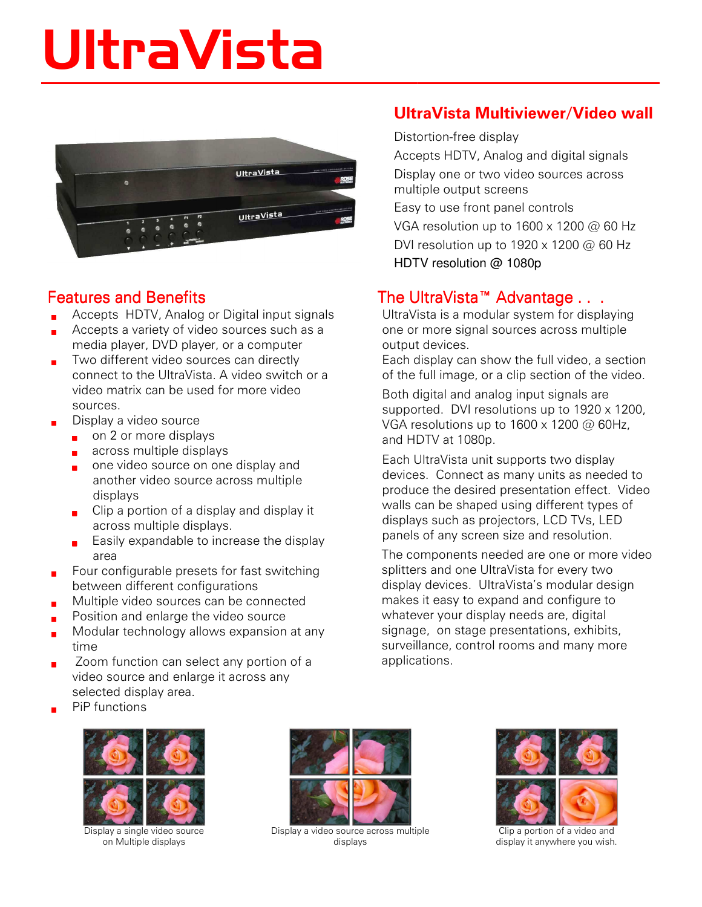# UltraVista



### Features and Benefits

- Accepts HDTV, Analog or Digital input signals
- **Accepts a variety of video sources such as a** media player, DVD player, or a computer
- **Two different video sources can directly** connect to the UltraVista. A video switch or a video matrix can be used for more video sources.
- Display a video source
	- $\Box$  on 2 or more displays
	- **a** across multiple displays
	- one video source on one display and another video source across multiple displays
	- $\Box$  Clip a portion of a display and display it across multiple displays.
	- **Easily expandable to increase the display** area
- $\blacksquare$  Four configurable presets for fast switching between different configurations
- **Multiple video sources can be connected**
- **Position and enlarge the video source**
- **Modular technology allows expansion at any** time
- **EXECOM** Zoom function can select any portion of a video source and enlarge it across any selected display area.





Display a single video source on Multiple displays



Display a video source across multiple displays

#### UltraVista Multiviewer/Video wall

Distortion-free display

Accepts HDTV, Analog and digital signals Display one or two video sources across multiple output screens

Easy to use front panel controls VGA resolution up to 1600 x 1200 @ 60 Hz DVI resolution up to 1920 x 1200 @ 60 Hz HDTV resolution @ 1080p

#### The UltraVista™ Advantage . . .

UltraVista is a modular system for displaying one or more signal sources across multiple output devices.

Each display can show the full video, a section of the full image, or a clip section of the video.

Both digital and analog input signals are supported. DVI resolutions up to 1920 x 1200, VGA resolutions up to 1600 x 1200 @ 60Hz, and HDTV at 1080p.

Each UltraVista unit supports two display devices. Connect as many units as needed to produce the desired presentation effect. Video walls can be shaped using different types of displays such as projectors, LCD TVs, LED panels of any screen size and resolution.

The components needed are one or more video splitters and one UltraVista for every two display devices. UltraVista's modular design makes it easy to expand and configure to whatever your display needs are, digital signage, on stage presentations, exhibits, surveillance, control rooms and many more applications.



Clip a portion of a video and display it anywhere you wish.